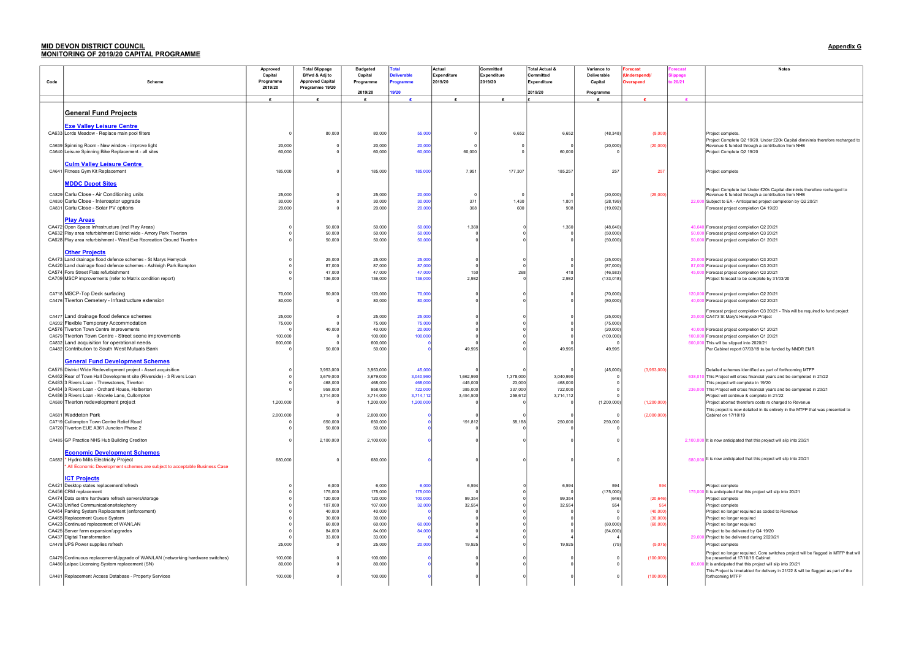## MID DEVON DISTRICT COUNCIL Appendix G MONITORING OF 2019/20 CAPITAL PROGRAMME

|      |                                                                                                            | Approved  | <b>Total Slippage</b>   | <b>Budgeted</b>    | <b>Total</b>       | Actual             | Committed          | <b>Total Actual &amp;</b> | Variance to           | orecast          | precast | Notes                                                                                                                  |
|------|------------------------------------------------------------------------------------------------------------|-----------|-------------------------|--------------------|--------------------|--------------------|--------------------|---------------------------|-----------------------|------------------|---------|------------------------------------------------------------------------------------------------------------------------|
|      |                                                                                                            | Capital   | B/fwd & Adj to          | Capital            | <b>Deliverable</b> | <b>Expenditure</b> | <b>Expenditure</b> | Committed                 | Deliverable           | Underspend)/     | ippage  |                                                                                                                        |
| Code | <b>Scheme</b>                                                                                              | Programme | <b>Approved Capital</b> | Programme          | Programme          | 2019/20            | 2019/20            | Expenditure               | Capital               | <b>Overspend</b> | 20/21   |                                                                                                                        |
|      |                                                                                                            | 2019/20   | Programme 19/20         |                    |                    |                    |                    |                           |                       |                  |         |                                                                                                                        |
|      |                                                                                                            |           |                         | 2019/20            | 19/20              |                    |                    | 2019/20                   | Programme             |                  |         |                                                                                                                        |
|      |                                                                                                            | £         |                         | $\mathbf{r}$       |                    |                    | $\mathbf{f}$       |                           |                       |                  |         |                                                                                                                        |
|      |                                                                                                            |           |                         |                    |                    |                    |                    |                           |                       |                  |         |                                                                                                                        |
|      | <b>General Fund Projects</b>                                                                               |           |                         |                    |                    |                    |                    |                           |                       |                  |         |                                                                                                                        |
|      |                                                                                                            |           |                         |                    |                    |                    |                    |                           |                       |                  |         |                                                                                                                        |
|      | <b>Exe Valley Leisure Centre</b>                                                                           |           |                         |                    |                    |                    |                    |                           |                       |                  |         |                                                                                                                        |
|      | CA633 Lords Meadow - Replace main pool filters                                                             |           | 80,000                  | 80,000             | 55,000             | $\Omega$           | 6,652              | 6,652                     | (48, 348)             | (8,000)          |         | Project complete                                                                                                       |
|      |                                                                                                            |           |                         |                    |                    |                    |                    |                           |                       |                  |         | Project Complete Q2 19/20. Under £20k Capital diminimis therefore recharged to                                         |
|      | CA639 Spinning Room - New window - improve light                                                           | 20,000    |                         | 20,000             | 20,000             | $\Omega$           |                    |                           | (20,000)              | (20,000)         |         | Revenue & funded through a contribution from NHB                                                                       |
|      | CA640 Leisure Spinning Bike Replacement - all sites                                                        | 60,000    |                         | 60,000             | 60,000             | 60,000             |                    | 60,000                    |                       |                  |         | Project Complete Q2 19/20                                                                                              |
|      | <b>Culm Valley Leisure Centre</b>                                                                          |           |                         |                    |                    |                    |                    |                           |                       |                  |         |                                                                                                                        |
|      | CA641 Fitness Gym Kit Replacement                                                                          | 185,000   |                         | 185,000            | 185,000            | 7,951              | 177,307            | 185,257                   | 257                   | 257              |         |                                                                                                                        |
|      |                                                                                                            |           |                         |                    |                    |                    |                    |                           |                       |                  |         | Project complete                                                                                                       |
|      | <b>MDDC Depot Sites</b>                                                                                    |           |                         |                    |                    |                    |                    |                           |                       |                  |         |                                                                                                                        |
|      |                                                                                                            |           |                         |                    |                    |                    |                    |                           |                       |                  |         | Project Complete but Under £20k Capital diminimis therefore recharged to                                               |
|      | CA829 Carlu Close - Air Conditioning units                                                                 | 25,000    |                         | 25,000             | 20,000             | $\Omega$           |                    |                           | (20,000)              | (25,000)         |         | Revenue & funded through a contribution from NHB                                                                       |
|      | CA830 Carlu Close - Interceptor upgrade                                                                    | 30,000    |                         | 30,000             | 30,000             | 371                | 1,430              | $1,80^{\circ}$            | (28, 199)             |                  |         | 22,000 Subject to EA - Anticipated project completion by Q2 20/21                                                      |
|      | CA831 Carlu Close - Solar PV options                                                                       | 20,000    |                         | 20,000             | 20,000             | 308                | 600                | 908                       | (19,092)              |                  |         | Forecast project completion Q4 19/20                                                                                   |
|      |                                                                                                            |           |                         |                    |                    |                    |                    |                           |                       |                  |         |                                                                                                                        |
|      | <b>Play Areas</b>                                                                                          |           |                         |                    |                    |                    |                    |                           |                       |                  |         |                                                                                                                        |
|      | CA472 Open Space Infrastructure (incl Play Areas)                                                          |           | 50,000                  | 50,000             | 50,000             | 1,360              |                    | 1,360                     | (48, 640)             |                  |         | 48,640 Forecast project completion Q2 20/21                                                                            |
|      | CA632 Play area refurbishment District wide - Amory Park Tiverton                                          |           | 50,000                  | 50,000             | 50,000             |                    |                    |                           | (50,000)              |                  |         | 50,000 Forecast project completion Q3 20/21                                                                            |
|      | CA628 Play area refurbishment - West Exe Recreation Ground Tiverton                                        |           | 50,000                  | 50,000             | 50,000             |                    |                    |                           | (50,000)              |                  |         | 50,000 Forecast project completion Q1 20/21                                                                            |
|      |                                                                                                            |           |                         |                    |                    |                    |                    |                           |                       |                  |         |                                                                                                                        |
|      | <b>Other Projects</b>                                                                                      |           |                         |                    |                    |                    |                    |                           |                       |                  |         |                                                                                                                        |
|      | CA473 Land drainage flood defence schemes - St Marys Hemyock                                               |           | 25,000                  | 25,000             | 25,000             |                    |                    |                           | (25,000)              |                  |         | 25,000 Forecast project completion Q3 20/21                                                                            |
|      | CA420 Land drainage flood defence schemes - Ashleigh Park Bampton<br>CA574 Fore Street Flats refurbishment |           | 87,000                  | 87,000<br>47,000   | 87,000<br>47,000   | 150                | 268                | 418                       | (87,000)<br>(46, 583) |                  |         | 87,000 Forecast project completion Q3 20/21<br>45,000 Forecast project completion Q3 20/21                             |
|      | CA709 MSCP improvements (refer to Matrix condition report)                                                 |           | 47,000<br>136,000       | 136,000            | 136,000            | 2,982              |                    | 2,982                     | (133, 018)            |                  |         | Project forecast to be complete by 31/03/20                                                                            |
|      |                                                                                                            |           |                         |                    |                    |                    |                    |                           |                       |                  |         |                                                                                                                        |
|      |                                                                                                            |           |                         |                    |                    |                    |                    |                           |                       |                  |         |                                                                                                                        |
|      | CA718 MSCP-Top Deck surfacing                                                                              | 70,000    | 50,000                  | 120,000            | 70,000             |                    |                    |                           | (70,000)              |                  |         | 120,000 Forecast project completion Q2 20/21                                                                           |
|      | CA476 Tiverton Cemetery - Infrastructure extension                                                         | 80,000    |                         | 80,000             | 80,000             |                    |                    |                           | (80,000)              |                  |         | 40,000 Forecast project completion Q2 20/21                                                                            |
|      |                                                                                                            |           |                         |                    |                    |                    |                    |                           |                       |                  |         | Forecast project completion Q3 20/21 - This will be required to fund project                                           |
|      | CA477 Land drainage flood defence schemes                                                                  | 25,000    |                         | 25,000             | 25,000             |                    |                    |                           | (25,000)              |                  |         | 25,000 CA473 St Mary's Hemyock Project                                                                                 |
|      | CA202 Flexible Temporary Accommodation                                                                     | 75,000    |                         | 75,000             | 75,000             |                    |                    |                           | (75,000)              |                  |         |                                                                                                                        |
|      | CA576 Tiverton Town Centre improvements                                                                    |           | 40,000                  | 40,000             | 20,000             |                    |                    |                           | (20,000)              |                  |         | 40,000 Forecast project completion Q1 20/21                                                                            |
|      | CA579 Tiverton Town Centre - Street scene improvements                                                     | 100,000   |                         | 100,000            | 100,000            |                    |                    |                           | (100,000)             |                  | 100,00  | Forecast project completion Q1 20/21                                                                                   |
|      | CA832 Land acquisition for operational needs                                                               | 600,000   |                         | 600,000            |                    |                    |                    |                           |                       |                  |         | 600,000 This will be slipped into 2020/21                                                                              |
|      | CA482 Contribution to South West Mutuals Bank                                                              |           | 50,000                  | 50,000             |                    | 49,995             |                    | 49,995                    | 49,995                |                  |         | Per Cabinet report 07/03/19 to be funded by NNDR EMR                                                                   |
|      | <b>General Fund Development Schemes</b>                                                                    |           |                         |                    |                    |                    |                    |                           |                       |                  |         |                                                                                                                        |
|      |                                                                                                            |           |                         |                    |                    |                    |                    |                           |                       |                  |         |                                                                                                                        |
|      | CA575 District Wide Redevelopment project - Asset acquisition                                              |           | 3,953,000               | 3,953,000          | 45,000             |                    |                    |                           | (45,000)              | (3,953,000)      |         | Detailed schemes identified as part of forthcoming MTFP                                                                |
|      | CA462 Rear of Town Hall Development site (Riverside) - 3 Rivers Loan                                       |           | 3,679,000               | 3,679,000          | 3,040,990          | 1,662,990          | 1,378,000          | 3,040,990                 |                       |                  |         | 638,010 This Project will cross financial years and be completed in 21/22                                              |
|      | CA483 3 Rivers Loan - Threwstones, Tiverton<br>CA484 3 Rivers Loan - Orchard House, Halberton              |           | 468,000<br>958,000      | 468,000<br>958,000 | 468,000<br>722,000 | 445,000<br>385,000 | 23,000<br>337,000  | 468,000<br>722,000        |                       |                  |         | This project will complete in 19/20                                                                                    |
|      | CA486 3 Rivers Loan - Knowle Lane, Cullompton                                                              |           | 3,714,000               | 3,714,000          | 3,714,112          | 3,454,500          | 259,612            | 3,714,112                 |                       |                  |         | 236,000 This Project will cross financial years and be completed in 20/21<br>Project will continue & complete in 21/22 |
|      | CA580 Tiverton redevelopment project                                                                       | 1,200,000 | $\Omega$                | 1,200,000          | 1,200,000          |                    |                    |                           | (1,200,000)           | (1, 200, 000)    |         | Project aborted therefore costs re charged to Revenue                                                                  |
|      |                                                                                                            |           |                         |                    |                    |                    |                    |                           |                       |                  |         | This project is now detailed in its entirety in the MTFP that was presented to                                         |
|      | CA581 Waddeton Park                                                                                        | 2,000,000 |                         | 2,000,000          |                    |                    |                    |                           | $\Omega$              | (2,000,000)      |         | Cabinet on 17/10/19                                                                                                    |
|      | CA719 Cullompton Town Centre Relief Road                                                                   |           | 650,000                 | 650,000            |                    | 191,812            | 58,188             | 250,000                   | 250,000               |                  |         |                                                                                                                        |
|      | CA720 Tiverton EUE A361 Junction Phase 2                                                                   |           | 50,000                  | 50,000             |                    |                    |                    |                           |                       |                  |         |                                                                                                                        |
|      |                                                                                                            |           |                         |                    |                    |                    |                    |                           |                       |                  |         |                                                                                                                        |
|      | CA485 GP Practice NHS Hub Building Crediton                                                                |           | 2,100,000               | 2,100,000          |                    |                    |                    |                           |                       |                  |         | 2,100,000 It is now anticipated that this project will slip into 20/21                                                 |
|      |                                                                                                            |           |                         |                    |                    |                    |                    |                           |                       |                  |         |                                                                                                                        |
|      | <b>Economic Development Schemes</b>                                                                        |           |                         |                    |                    |                    |                    |                           |                       |                  |         |                                                                                                                        |
|      | CA582 <sup>*</sup> Hydro Mills Electricity Project                                                         | 680,000   |                         | 680,000            |                    |                    |                    |                           |                       |                  |         | 680,000 It is now anticipated that this project will slip into 20/21                                                   |
|      | All Economic Development schemes are subject to acceptable Business Case                                   |           |                         |                    |                    |                    |                    |                           |                       |                  |         |                                                                                                                        |
|      | <b>ICT Projects</b>                                                                                        |           |                         |                    |                    |                    |                    |                           |                       |                  |         |                                                                                                                        |
|      | CA421 Desktop states replacement/refresh                                                                   |           | 6,000                   | 6,000              | 6,000              | 6,594              |                    | 6,594                     | 594                   | 594              |         | Project complete                                                                                                       |
|      | CA456 CRM replacement                                                                                      |           | 175,000                 | 175,000            | 175,000            |                    |                    |                           | (175,000)             |                  |         | 175,000 It is anticipated that this project will slip into 20/21                                                       |
|      | CA474 Data centre hardware refresh servers/storage                                                         |           | 120,000                 | 120,000            | 100,000            | 99,354             |                    | 99,354                    | (646)                 | (20, 646)        |         | Project complete                                                                                                       |
|      | CA433 Unified Communications/telephony                                                                     |           | 107,000                 | 107,000            | 32,000             | 32,554             |                    | 32,554                    | 554                   | 554              |         | Project complete                                                                                                       |
|      | CA464 Parking System Replacement (enforcement)                                                             |           | 40,000                  | 40,000             |                    |                    |                    |                           | $\Omega$              | (40,000)         |         | Project no longer required as coded to Revenue                                                                         |
|      | CA465 Replacement Queue System                                                                             |           | 30,000                  | 30,000             |                    |                    |                    |                           | $\Omega$              | (30,000)         |         | Project no longer required                                                                                             |
|      | CA423 Continued replacement of WAN/LAN                                                                     |           | 60,000                  | 60,000             | 60,000             |                    |                    |                           | (60,000)              | (60,000)         |         | Project no longer required                                                                                             |
|      | CA425 Server farm expansion/upgrades                                                                       |           | 84,000                  | 84,000             | 84,000             |                    |                    |                           | (84,000)              |                  |         | Project to be delivered by Q4 19/20                                                                                    |
|      | CA437 Digital Transformation                                                                               |           | 33,000                  | 33,000             |                    |                    |                    |                           |                       |                  |         | 29,000 Project to be delivered during 2020/21                                                                          |
|      | CA478 UPS Power supplies refresh                                                                           | 25,000    |                         | 25,000             | 20,000             | 19,925             |                    | 19,925                    | (75)                  | (5,075)          |         | Project complete                                                                                                       |
|      |                                                                                                            |           |                         |                    |                    |                    |                    |                           |                       |                  |         | Project no longer required. Core switches project will be flagged in MTFP that will                                    |
|      | CA479 Continuous replacement/Upgrade of WAN/LAN (networking hardware switches)                             | 100,000   |                         | 100,000            |                    |                    |                    |                           | $\Omega$              | (100,000)        |         | be presented at 17/10/19 Cabinet                                                                                       |
|      | CA480 Lalpac Licensing System replacement (SN)                                                             | 80,000    |                         | 80,000             |                    |                    |                    |                           |                       |                  |         | 80,000 It is anticipated that this project will slip into 20/21                                                        |
|      |                                                                                                            |           |                         |                    |                    |                    |                    |                           |                       |                  |         | This Project is timetabled for delivery in 21/22 & will be flagged as part of the                                      |
|      | CA481 Replacement Access Database - Property Services                                                      | 100,000   |                         | 100,000            |                    |                    |                    |                           |                       | (100,000)        |         | forthcoming MTFP                                                                                                       |
|      |                                                                                                            |           |                         |                    |                    |                    |                    |                           |                       |                  |         |                                                                                                                        |